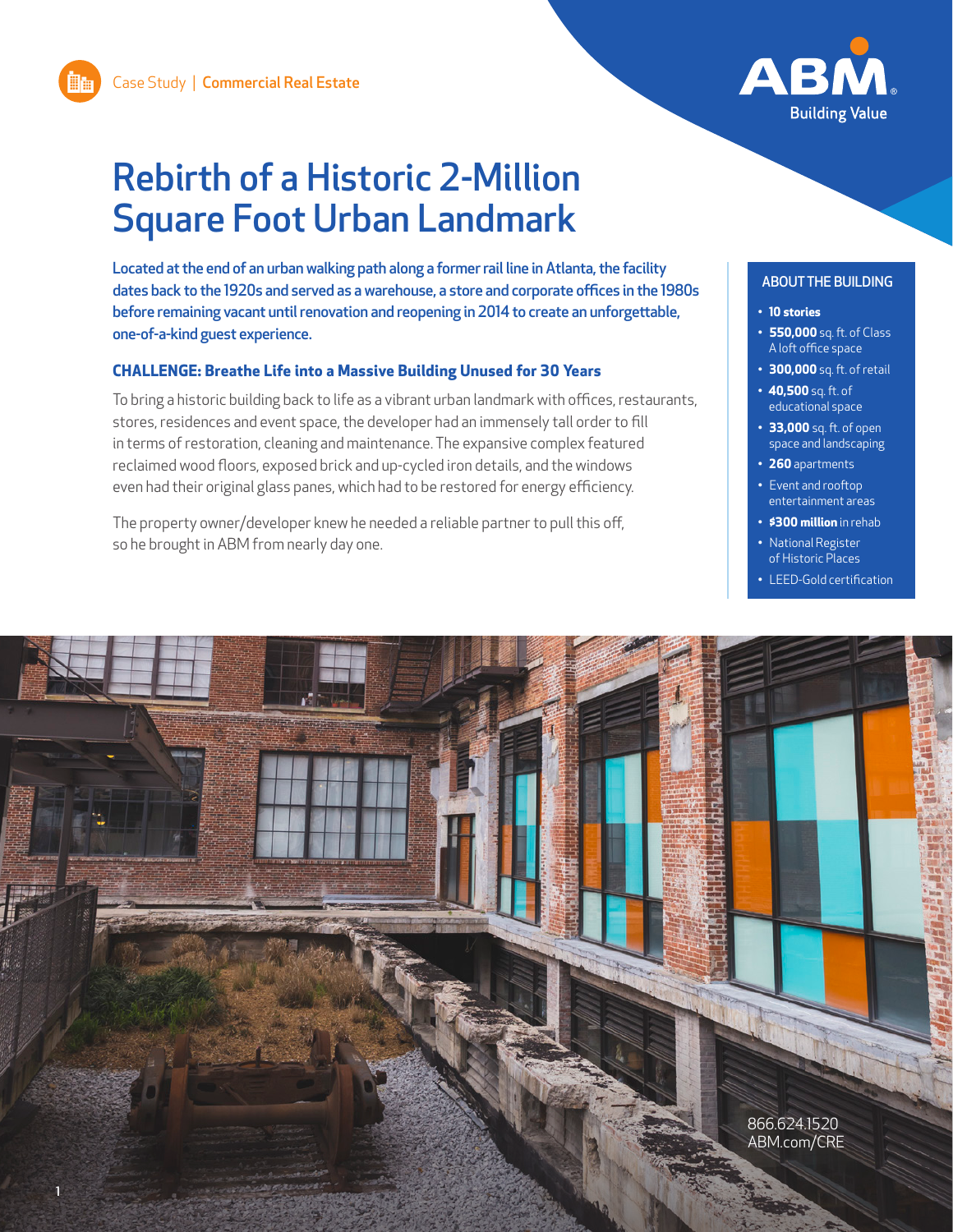

# Rebirth of a Historic 2-Million Square Foot Urban Landmark

Located at the end of an urban walking path along a former rail line in Atlanta, the facility dates back to the 1920s and served as a warehouse, a store and corporate offices in the 1980s before remaining vacant until renovation and reopening in 2014 to create an unforgettable, one-of-a-kind guest experience.

## **CHALLENGE: Breathe Life into a Massive Building Unused for 30 Years**

To bring a historic building back to life as a vibrant urban landmark with offices, restaurants, stores, residences and event space, the developer had an immensely tall order to fill in terms of restoration, cleaning and maintenance. The expansive complex featured reclaimed wood floors, exposed brick and up-cycled iron details, and the windows even had their original glass panes, which had to be restored for energy efficiency.

The property owner/developer knew he needed a reliable partner to pull this off, so he brought in ABM from nearly day one.

#### ABOUT THE BUILDING

#### **• 10 stories**

- **• 550,000** sq. ft. of Class A loft office space
- **• 300,000** sq. ft. of retail
- **• 40,500** sq. ft. of educational space
- **• 33,000** sq. ft. of open space and landscaping
- **• 260** apartments
- Event and rooftop entertainment areas
- **• \$300 million** in rehab
- National Register of Historic Places
- LEED-Gold certification

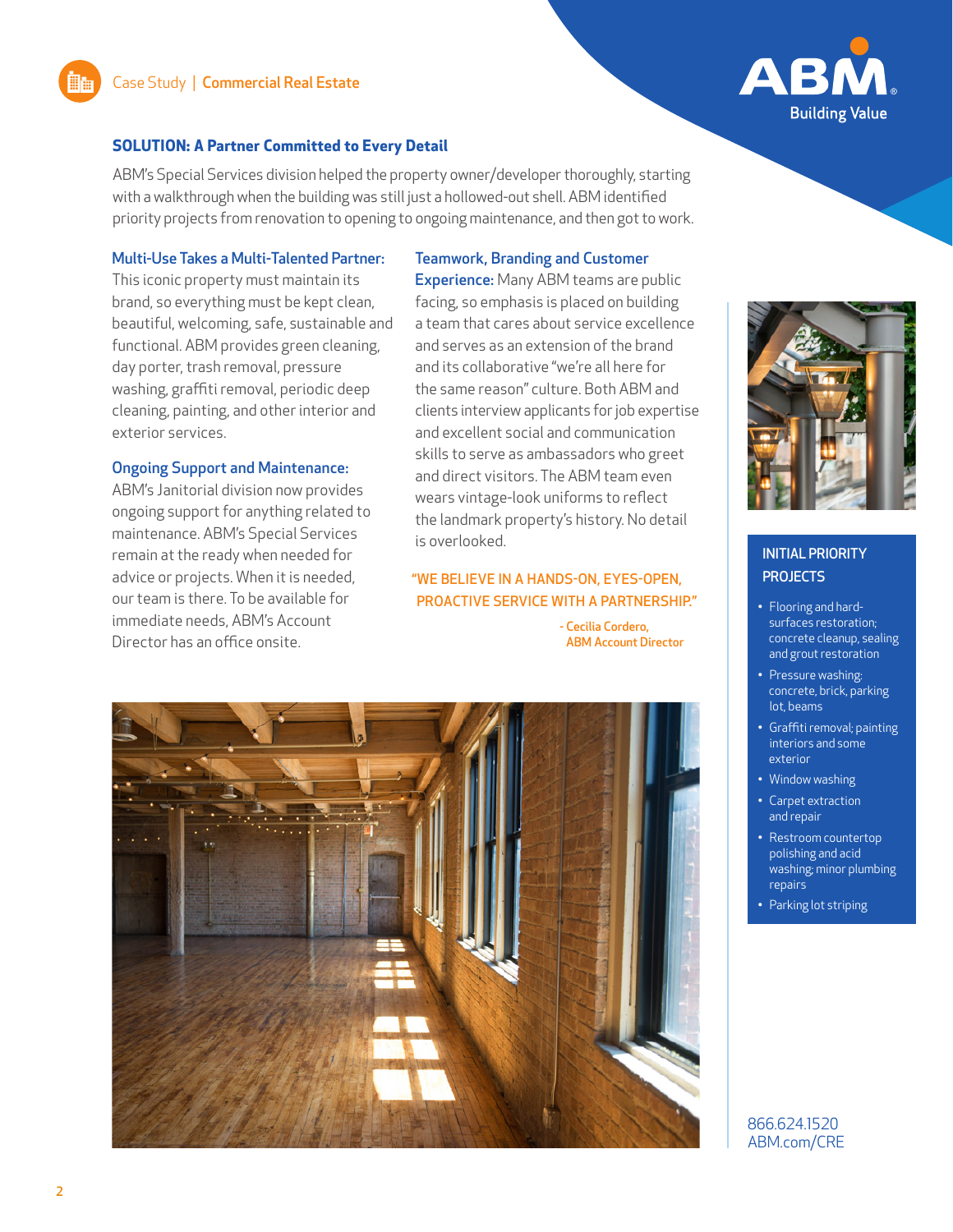

# **SOLUTION: A Partner Committed to Every Detail**

ABM's Special Services division helped the property owner/developer thoroughly, starting with a walkthrough when the building was still just a hollowed-out shell. ABM identified priority projects from renovation to opening to ongoing maintenance, and then got to work.

#### Multi-Use Takes a Multi-Talented Partner:

This iconic property must maintain its brand, so everything must be kept clean, beautiful, welcoming, safe, sustainable and functional. ABM provides green cleaning, day porter, trash removal, pressure washing, graffiti removal, periodic deep cleaning, painting, and other interior and exterior services.

#### Ongoing Support and Maintenance:

ABM's Janitorial division now provides ongoing support for anything related to maintenance. ABM's Special Services remain at the ready when needed for advice or projects. When it is needed, our team is there. To be available for immediate needs, ABM's Account Director has an office onsite.

## Teamwork, Branding and Customer

**Experience:** Many ABM teams are public facing, so emphasis is placed on building a team that cares about service excellence and serves as an extension of the brand and its collaborative "we're all here for the same reason" culture. Both ABM and clients interview applicants for job expertise and excellent social and communication skills to serve as ambassadors who greet and direct visitors. The ABM team even wears vintage-look uniforms to reflect the landmark property's history. No detail is overlooked.

## "WE BELIEVE IN A HANDS-ON, EYES-OPEN, PROACTIVE SERVICE WITH A PARTNERSHIP."

- Cecilia Cordero, ABM Account Director





# INITIAL PRIORITY **PROJECTS**

- Flooring and hardsurfaces restoration; concrete cleanup, sealing and grout restoration
- Pressure washing: concrete, brick, parking lot, beams
- Graffiti removal; painting interiors and some exterior
- Window washing
- Carpet extraction and repair
- Restroom countertop polishing and acid washing; minor plumbing repairs
- Parking lot striping

866.624.1520 ABM.com/CRE